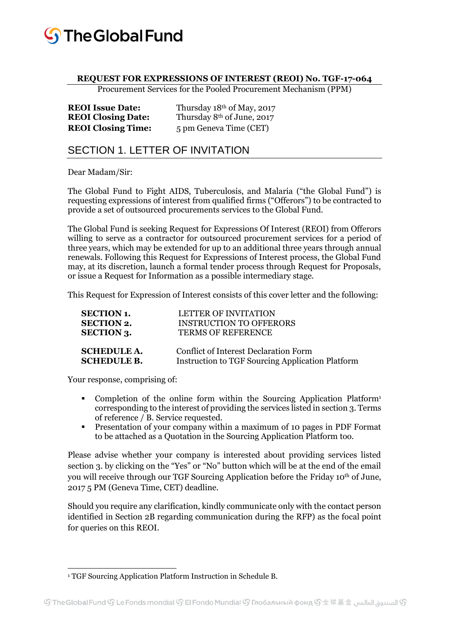

#### **REQUEST FOR EXPRESSIONS OF INTEREST (REOI) No. TGF-17-064**

Procurement Services for the Pooled Procurement Mechanism (PPM)

| <b>REOI</b> Issue Date:   | Thursday 18th of May, 2017             |
|---------------------------|----------------------------------------|
| <b>REOI Closing Date:</b> | Thursday 8 <sup>th</sup> of June, 2017 |
| <b>REOI Closing Time:</b> | 5 pm Geneva Time (CET)                 |

# SECTION 1. LETTER OF INVITATION

Dear Madam/Sir:

The Global Fund to Fight AIDS, Tuberculosis, and Malaria ("the Global Fund") is requesting expressions of interest from qualified firms ("Offerors") to be contracted to provide a set of outsourced procurements services to the Global Fund.

The Global Fund is seeking Request for Expressions Of Interest (REOI) from Offerors willing to serve as a contractor for outsourced procurement services for a period of three years, which may be extended for up to an additional three years through annual renewals. Following this Request for Expressions of Interest process, the Global Fund may, at its discretion, launch a formal tender process through Request for Proposals, or issue a Request for Information as a possible intermediary stage.

This Request for Expression of Interest consists of this cover letter and the following:

| <b>SECTION 1.</b>  | LETTER OF INVITATION                             |
|--------------------|--------------------------------------------------|
| <b>SECTION 2.</b>  | <b>INSTRUCTION TO OFFERORS</b>                   |
| <b>SECTION 3.</b>  | <b>TERMS OF REFERENCE</b>                        |
| <b>SCHEDULE A.</b> | Conflict of Interest Declaration Form            |
|                    |                                                  |
| <b>SCHEDULE B.</b> | Instruction to TGF Sourcing Application Platform |

Your response, comprising of:

- Completion of the online form within the Sourcing Application Platform<sup>1</sup> corresponding to the interest of providing the services listed in section 3. Terms of reference / B. Service requested.
- Presentation of your company within a maximum of 10 pages in PDF Format to be attached as a Quotation in the Sourcing Application Platform too.

Please advise whether your company is interested about providing services listed section 3. by clicking on the "Yes" or "No" button which will be at the end of the email you will receive through our TGF Sourcing Application before the Friday 10th of June, 2017 5 PM (Geneva Time, CET) deadline.

Should you require any clarification, kindly communicate only with the contact person identified in Section 2B regarding communication during the RFP) as the focal point for queries on this REOI.

 $\overline{a}$ <sup>1</sup> TGF Sourcing Application Platform Instruction in Schedule B.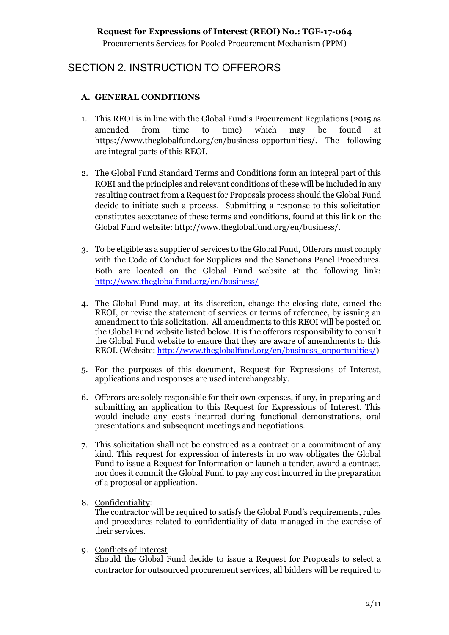## SECTION 2. INSTRUCTION TO OFFERORS

#### **A. GENERAL CONDITIONS**

- 1. This REOI is in line with the Global Fund's Procurement Regulations (2015 as amended from time to time) which may be found at https://www.theglobalfund.org/en/business-opportunities/. The following are integral parts of this REOI.
- 2. The Global Fund Standard Terms and Conditions form an integral part of this ROEI and the principles and relevant conditions of these will be included in any resulting contract from a Request for Proposals process should the Global Fund decide to initiate such a process. Submitting a response to this solicitation constitutes acceptance of these terms and conditions, found at this link on the Global Fund website: http://www.theglobalfund.org/en/business/.
- 3. To be eligible as a supplier of services to the Global Fund, Offerors must comply with the Code of Conduct for Suppliers and the Sanctions Panel Procedures. Both are located on the Global Fund website at the following link: <http://www.theglobalfund.org/en/business/>
- 4. The Global Fund may, at its discretion, change the closing date, cancel the REOI, or revise the statement of services or terms of reference, by issuing an amendment to this solicitation. All amendments to this REOI will be posted on the Global Fund website listed below. It is the offerors responsibility to consult the Global Fund website to ensure that they are aware of amendments to this REOI. (Website: [http://www.theglobalfund.org/en/business\\_opportunities/\)](http://www.theglobalfund.org/en/business_opportunities/)
- 5. For the purposes of this document, Request for Expressions of Interest, applications and responses are used interchangeably.
- 6. Offerors are solely responsible for their own expenses, if any, in preparing and submitting an application to this Request for Expressions of Interest. This would include any costs incurred during functional demonstrations, oral presentations and subsequent meetings and negotiations.
- 7. This solicitation shall not be construed as a contract or a commitment of any kind. This request for expression of interests in no way obligates the Global Fund to issue a Request for Information or launch a tender, award a contract, nor does it commit the Global Fund to pay any cost incurred in the preparation of a proposal or application.
- 8. Confidentiality:

The contractor will be required to satisfy the Global Fund's requirements, rules and procedures related to confidentiality of data managed in the exercise of their services.

9. Conflicts of Interest

Should the Global Fund decide to issue a Request for Proposals to select a contractor for outsourced procurement services, all bidders will be required to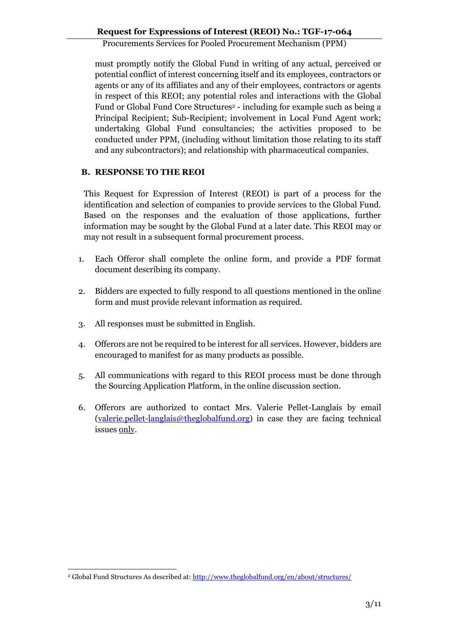must promptly notify the Global Fund in writing of any actual, perceived or potential conflict of interest concerning itself and its employees, contractors or agents or any of its affiliates and any of their employees, contractors or agents in respect of this REOI; any potential roles and interactions with the Global Fund or Global Fund Core Structures<sup>2</sup> - including for example such as being a Principal Recipient; Sub-Recipient; involvement in Local Fund Agent work; undertaking Global Fund consultancies; the activities proposed to be conducted under PPM, (including without limitation those relating to its staff and any subcontractors); and relationship with pharmaceutical companies.

#### **B. RESPONSE TO THE REOI**

This Request for Expression of Interest (REOI) is part of a process for the identification and selection of companies to provide services to the Global Fund. Based on the responses and the evaluation of those applications, further information may be sought by the Global Fund at a later date. This REOI may or may not result in a subsequent formal procurement process.

- 1. Each Offeror shall complete the online form, and provide a PDF format document describing its company.
- 2. Bidders are expected to fully respond to all questions mentioned in the online form and must provide relevant information as required.
- 3. All responses must be submitted in English.
- 4. Offerors are not be required to be interest for all services. However, bidders are encouraged to manifest for as many products as possible.
- 5. All communications with regard to this REOI process must be done through the Sourcing Application Platform, in the online discussion section.
- 6. Offerors are authorized to contact Mrs. Valerie Pellet-Langlais by email [\(valerie.pellet-langlais@theglobalfund.org\)](mailto:valerie.pellet-langlais@theglobalfund.org) in case they are facing technical issues only.

 $\overline{a}$ <sup>2</sup> Global Fund Structures As described at[: http://www.theglobalfund.org/en/about/structures/](http://www.theglobalfund.org/en/about/structures/)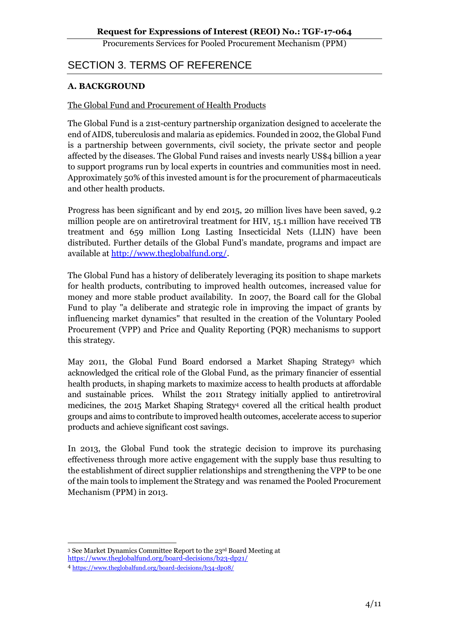# SECTION 3. TERMS OF REFERENCE

#### **A. BACKGROUND**

#### The Global Fund and Procurement of Health Products

The Global Fund is a 21st-century partnership organization designed to accelerate the end of AIDS, tuberculosis and malaria as epidemics. Founded in 2002, the Global Fund is a partnership between governments, civil society, the private sector and people affected by the diseases. The Global Fund raises and invests nearly US\$4 billion a year to support programs run by local experts in countries and communities most in need. Approximately 50% of this invested amount is for the procurement of pharmaceuticals and other health products.

Progress has been significant and by end 2015, 20 million lives have been saved, 9.2 million people are on antiretroviral treatment for HIV, 15.1 million have received TB treatment and 659 million Long Lasting Insecticidal Nets (LLIN) have been distributed. Further details of the Global Fund's mandate, programs and impact are available at [http://www.theglobalfund.org/.](http://www.theglobalfund.org/)

The Global Fund has a history of deliberately leveraging its position to shape markets for health products, contributing to improved health outcomes, increased value for money and more stable product availability. In 2007, the Board call for the Global Fund to play "a deliberate and strategic role in improving the impact of grants by influencing market dynamics" that resulted in the creation of the Voluntary Pooled Procurement (VPP) and Price and Quality Reporting (PQR) mechanisms to support this strategy.

May 2011, the Global Fund Board endorsed a Market Shaping Strategy<sup>3</sup> which acknowledged the critical role of the Global Fund, as the primary financier of essential health products, in shaping markets to maximize access to health products at affordable and sustainable prices. Whilst the 2011 Strategy initially applied to antiretroviral medicines, the 2015 Market Shaping Strategy<sup>4</sup> covered all the critical health product groups and aims to contribute to improved health outcomes, accelerate access to superior products and achieve significant cost savings.

In 2013, the Global Fund took the strategic decision to improve its purchasing effectiveness through more active engagement with the supply base thus resulting to the establishment of direct supplier relationships and strengthening the VPP to be one of the main tools to implement the Strategy and was renamed the Pooled Procurement Mechanism (PPM) in 2013.

 $\overline{a}$ <sup>3</sup> See Market Dynamics Committee Report to the 23rd Board Meeting at https://www.theglobalfund.org/board-decisions/b23-dp21/

<sup>4</sup> <https://www.theglobalfund.org/board-decisions/b34-dp08/>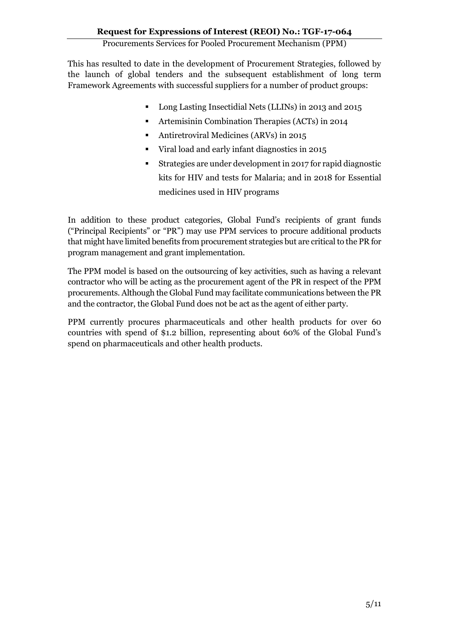This has resulted to date in the development of Procurement Strategies, followed by the launch of global tenders and the subsequent establishment of long term Framework Agreements with successful suppliers for a number of product groups:

- Long Lasting Insectidial Nets (LLINs) in 2013 and 2015
- Artemisinin Combination Therapies (ACTs) in 2014
- Antiretroviral Medicines (ARVs) in 2015
- Viral load and early infant diagnostics in 2015
- Strategies are under development in 2017 for rapid diagnostic kits for HIV and tests for Malaria; and in 2018 for Essential medicines used in HIV programs

In addition to these product categories, Global Fund's recipients of grant funds ("Principal Recipients" or "PR") may use PPM services to procure additional products that might have limited benefits from procurement strategies but are critical to the PR for program management and grant implementation.

The PPM model is based on the outsourcing of key activities, such as having a relevant contractor who will be acting as the procurement agent of the PR in respect of the PPM procurements. Although the Global Fund may facilitate communications between the PR and the contractor, the Global Fund does not be act as the agent of either party.

PPM currently procures pharmaceuticals and other health products for over 60 countries with spend of \$1.2 billion, representing about 60% of the Global Fund's spend on pharmaceuticals and other health products.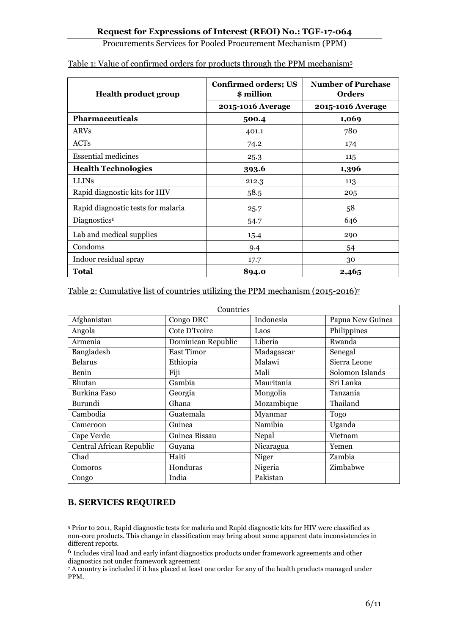| <b>Health product group</b>        | <b>Confirmed orders; US</b><br>\$ million | <b>Number of Purchase</b><br><b>Orders</b> |  |
|------------------------------------|-------------------------------------------|--------------------------------------------|--|
|                                    | 2015-1016 Average                         | 2015-1016 Average                          |  |
| <b>Pharmaceuticals</b>             | 500.4                                     | 1,069                                      |  |
| <b>ARVs</b>                        | 401.1                                     | 780                                        |  |
| ACT <sub>s</sub>                   | 74.2                                      | 174                                        |  |
| <b>Essential medicines</b>         | 25.3                                      | 115                                        |  |
| <b>Health Technologies</b>         | 393.6                                     | 1,396                                      |  |
| <b>LLINS</b>                       | 212.3                                     | 113                                        |  |
| Rapid diagnostic kits for HIV      | 58.5                                      | 205                                        |  |
| Rapid diagnostic tests for malaria | 25.7                                      | 58                                         |  |
| Diagnostics <sup>6</sup>           | 54.7                                      | 646                                        |  |
| Lab and medical supplies           | 15.4                                      | 290                                        |  |
| Condoms                            | 9.4                                       | 54                                         |  |
| Indoor residual spray              | 17.7                                      | 30                                         |  |
| Total                              | 894.0                                     | 2,465                                      |  |

#### Table 1: Value of confirmed orders for products through the PPM mechanism<sup>5</sup>

Table 2: Cumulative list of countries utilizing the PPM mechanism (2015-2016)<sup>7</sup>

| Countries                |                    |            |                  |  |  |
|--------------------------|--------------------|------------|------------------|--|--|
| Afghanistan              | Congo DRC          | Indonesia  | Papua New Guinea |  |  |
| Angola                   | Cote D'Ivoire      | Laos       | Philippines      |  |  |
| Armenia                  | Dominican Republic | Liberia    | Rwanda           |  |  |
| Bangladesh               | <b>East Timor</b>  | Madagascar | Senegal          |  |  |
| <b>Belarus</b>           | Ethiopia           | Malawi     | Sierra Leone     |  |  |
| Benin                    | Fiji               | Mali       | Solomon Islands  |  |  |
| Bhutan                   | Gambia             | Mauritania | Sri Lanka        |  |  |
| Burkina Faso             | Georgia            | Mongolia   | Tanzania         |  |  |
| Burundi                  | Ghana              | Mozambique | Thailand         |  |  |
| Cambodia                 | Guatemala          | Myanmar    | Togo             |  |  |
| Cameroon                 | Guinea             | Namibia    | Uganda           |  |  |
| Cape Verde               | Guinea Bissau      | Nepal      | Vietnam          |  |  |
| Central African Republic | Guyana             | Nicaragua  | Yemen            |  |  |
| Chad                     | Haiti              | Niger      | Zambia           |  |  |
| Comoros                  | Honduras           | Nigeria    | Zimbabwe         |  |  |
| Congo                    | India              | Pakistan   |                  |  |  |

### **B. SERVICES REQUIRED**

 $\overline{a}$ <sup>5</sup> Prior to 2011, Rapid diagnostic tests for malaria and Rapid diagnostic kits for HIV were classified as non-core products. This change in classification may bring about some apparent data inconsistencies in different reports.

<sup>6</sup> Includes viral load and early infant diagnostics products under framework agreements and other diagnostics not under framework agreement

<sup>7</sup> A country is included if it has placed at least one order for any of the health products managed under PPM.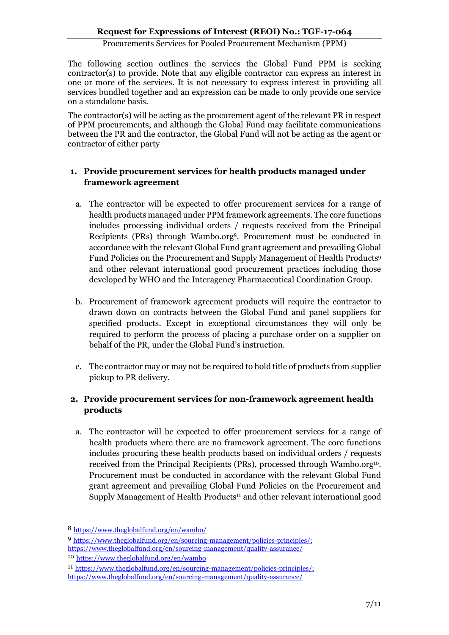The following section outlines the services the Global Fund PPM is seeking contractor(s) to provide. Note that any eligible contractor can express an interest in one or more of the services. It is not necessary to express interest in providing all services bundled together and an expression can be made to only provide one service on a standalone basis.

The contractor(s) will be acting as the procurement agent of the relevant PR in respect of PPM procurements, and although the Global Fund may facilitate communications between the PR and the contractor, the Global Fund will not be acting as the agent or contractor of either party

#### **1. Provide procurement services for health products managed under framework agreement**

- a. The contractor will be expected to offer procurement services for a range of health products managed under PPM framework agreements. The core functions includes processing individual orders / requests received from the Principal Recipients (PRs) through Wambo.org8. Procurement must be conducted in accordance with the relevant Global Fund grant agreement and prevailing Global Fund Policies on the Procurement and Supply Management of Health Products<sup>9</sup> and other relevant international good procurement practices including those developed by WHO and the Interagency Pharmaceutical Coordination Group.
- b. Procurement of framework agreement products will require the contractor to drawn down on contracts between the Global Fund and panel suppliers for specified products. Except in exceptional circumstances they will only be required to perform the process of placing a purchase order on a supplier on behalf of the PR, under the Global Fund's instruction.
- c. The contractor may or may not be required to hold title of products from supplier pickup to PR delivery.

### **2. Provide procurement services for non-framework agreement health products**

a. The contractor will be expected to offer procurement services for a range of health products where there are no framework agreement. The core functions includes procuring these health products based on individual orders / requests received from the Principal Recipients (PRs), processed through Wambo.org <sup>10</sup>. Procurement must be conducted in accordance with the relevant Global Fund grant agreement and prevailing Global Fund Policies on the Procurement and Supply Management of Health Products<sup>11</sup> and other relevant international good

 $\overline{a}$ 

<sup>8</sup> <https://www.theglobalfund.org/en/wambo/>

<sup>9</sup> [https://www.theglobalfund.org/en/sourcing-management/policies-principles/;](https://www.theglobalfund.org/en/sourcing-management/policies-principles/) <https://www.theglobalfund.org/en/sourcing-management/quality-assurance/>

<sup>10</sup> <https://www.theglobalfund.org/en/wambo>

<sup>11</sup> [https://www.theglobalfund.org/en/sourcing-management/policies-principles/;](https://www.theglobalfund.org/en/sourcing-management/policies-principles/) <https://www.theglobalfund.org/en/sourcing-management/quality-assurance/>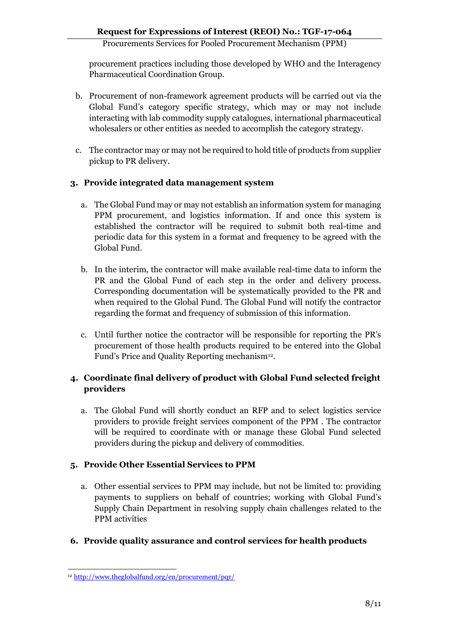procurement practices including those developed by WHO and the Interagency Pharmaceutical Coordination Group.

- b. Procurement of non-framework agreement products will be carried out via the Global Fund's category specific strategy, which may or may not include interacting with lab commodity supply catalogues, international pharmaceutical wholesalers or other entities as needed to accomplish the category strategy.
- c. The contractor may or may not be required to hold title of products from supplier pickup to PR delivery.

### **3. Provide integrated data management system**

- a. The Global Fund may or may not establish an information system for managing PPM procurement, and logistics information. If and once this system is established the contractor will be required to submit both real-time and periodic data for this system in a format and frequency to be agreed with the Global Fund.
- b. In the interim, the contractor will make available real-time data to inform the PR and the Global Fund of each step in the order and delivery process. Corresponding documentation will be systematically provided to the PR and when required to the Global Fund. The Global Fund will notify the contractor regarding the format and frequency of submission of this information.
- c. Until further notice the contractor will be responsible for reporting the PR's procurement of those health products required to be entered into the Global Fund's Price and Quality Reporting mechanism<sup>12</sup>.

### **4. Coordinate final delivery of product with Global Fund selected freight providers**

a. The Global Fund will shortly conduct an RFP and to select logistics service providers to provide freight services component of the PPM . The contractor will be required to coordinate with or manage these Global Fund selected providers during the pickup and delivery of commodities.

#### **5. Provide Other Essential Services to PPM**

- a. Other essential services to PPM may include, but not be limited to: providing payments to suppliers on behalf of countries; working with Global Fund's Supply Chain Department in resolving supply chain challenges related to the PPM activities
- **6. Provide quality assurance and control services for health products**

 $\overline{a}$ <sup>12</sup> <http://www.theglobalfund.org/en/procurement/pqr/>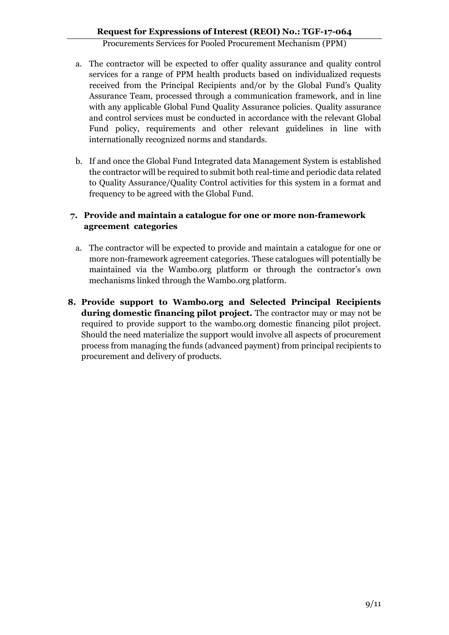- a. The contractor will be expected to offer quality assurance and quality control services for a range of PPM health products based on individualized requests received from the Principal Recipients and/or by the Global Fund's Quality Assurance Team, processed through a communication framework, and in line with any applicable Global Fund Quality Assurance policies. Quality assurance and control services must be conducted in accordance with the relevant Global Fund policy, requirements and other relevant guidelines in line with internationally recognized norms and standards.
- b. If and once the Global Fund Integrated data Management System is established the contractor will be required to submit both real-time and periodic data related to Quality Assurance/Quality Control activities for this system in a format and frequency to be agreed with the Global Fund.

#### **7. Provide and maintain a catalogue for one or more non-framework agreement categories**

- a. The contractor will be expected to provide and maintain a catalogue for one or more non-framework agreement categories. These catalogues will potentially be maintained via the Wambo.org platform or through the contractor's own mechanisms linked through the Wambo.org platform.
- **8. Provide support to Wambo.org and Selected Principal Recipients during domestic financing pilot project.** The contractor may or may not be required to provide support to the wambo.org domestic financing pilot project. Should the need materialize the support would involve all aspects of procurement process from managing the funds (advanced payment) from principal recipients to procurement and delivery of products.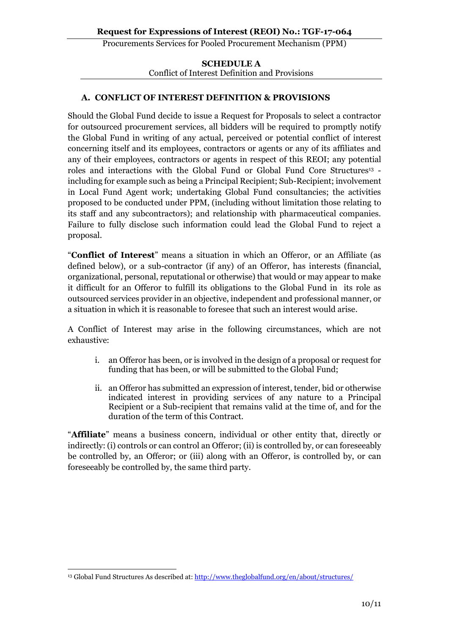#### **SCHEDULE A** Conflict of Interest Definition and Provisions

#### **A. CONFLICT OF INTEREST DEFINITION & PROVISIONS**

Should the Global Fund decide to issue a Request for Proposals to select a contractor for outsourced procurement services, all bidders will be required to promptly notify the Global Fund in writing of any actual, perceived or potential conflict of interest concerning itself and its employees, contractors or agents or any of its affiliates and any of their employees, contractors or agents in respect of this REOI; any potential roles and interactions with the Global Fund or Global Fund Core Structures<sup>13</sup> including for example such as being a Principal Recipient; Sub-Recipient; involvement in Local Fund Agent work; undertaking Global Fund consultancies; the activities proposed to be conducted under PPM, (including without limitation those relating to its staff and any subcontractors); and relationship with pharmaceutical companies. Failure to fully disclose such information could lead the Global Fund to reject a proposal.

"**Conflict of Interest**" means a situation in which an Offeror, or an Affiliate (as defined below), or a sub-contractor (if any) of an Offeror, has interests (financial, organizational, personal, reputational or otherwise) that would or may appear to make it difficult for an Offeror to fulfill its obligations to the Global Fund in its role as outsourced services provider in an objective, independent and professional manner, or a situation in which it is reasonable to foresee that such an interest would arise*.* 

A Conflict of Interest may arise in the following circumstances, which are not exhaustive:

- i. an Offeror has been, or is involved in the design of a proposal or request for funding that has been, or will be submitted to the Global Fund;
- ii. an Offeror has submitted an expression of interest, tender, bid or otherwise indicated interest in providing services of any nature to a Principal Recipient or a Sub-recipient that remains valid at the time of, and for the duration of the term of this Contract.

"**Affiliate**" means a business concern, individual or other entity that, directly or indirectly: (i) controls or can control an Offeror; (ii) is controlled by, or can foreseeably be controlled by, an Offeror; or (iii) along with an Offeror, is controlled by, or can foreseeably be controlled by, the same third party.

 $\overline{a}$ <sup>13</sup> Global Fund Structures As described at:<http://www.theglobalfund.org/en/about/structures/>